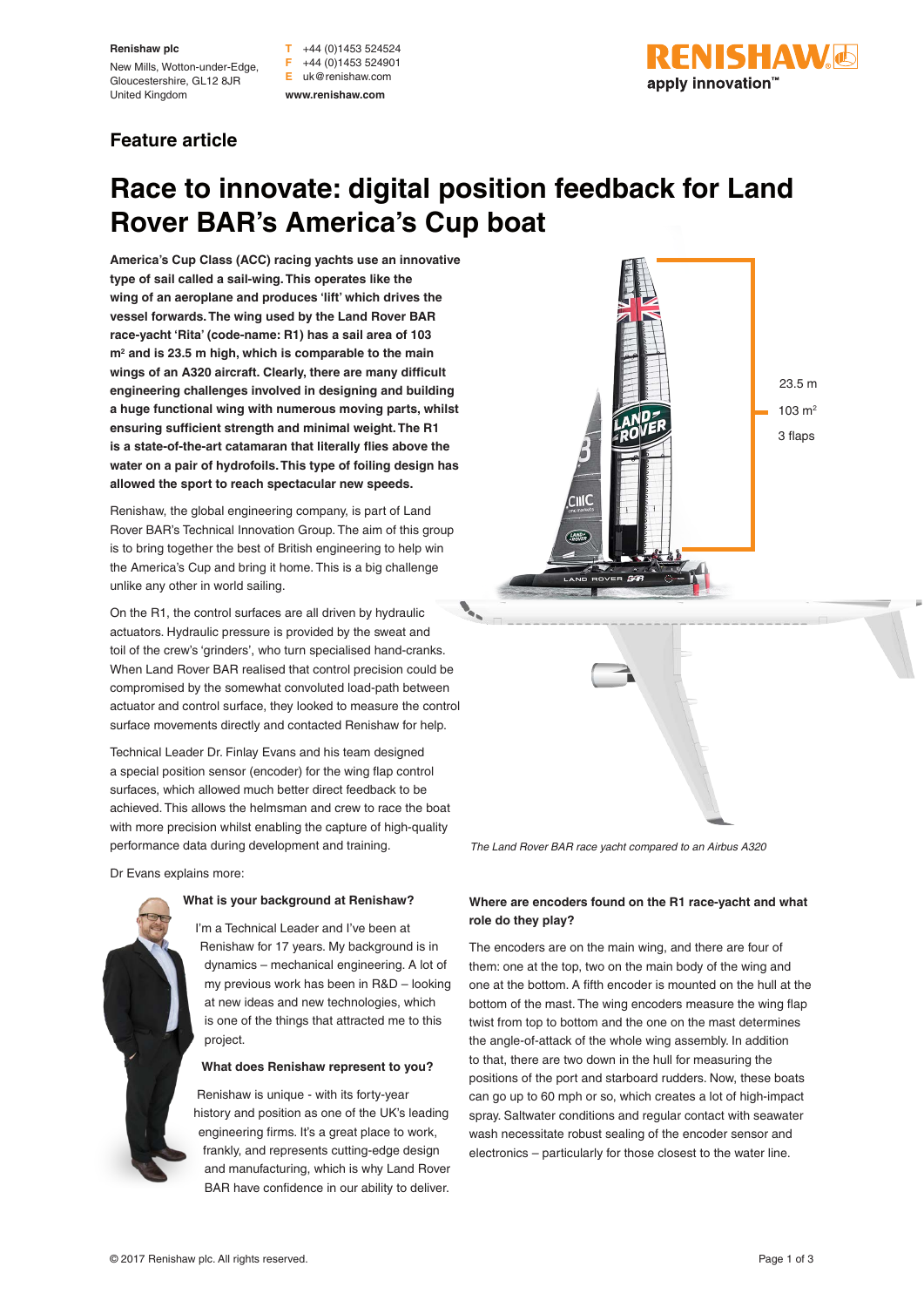#### **Renishaw plc**

New Mills, Wotton-under-Edge, Gloucestershire, GL12 8JR United Kingdom

#### **T** +44 (0)1453 524524 **F** +44 (0)1453 524901 **E** uk@renishaw.com **www.renishaw.com**



# **Feature article**

# **Race to innovate: digital position feedback for Land Rover BAR's America's Cup boat**

**America's Cup Class (ACC) racing yachts use an innovative type of sail called a sail-wing. This operates like the wing of an aeroplane and produces 'lift' which drives the vessel forwards. The wing used by the Land Rover BAR race-yacht 'Rita' (code-name: R1) has a sail area of 103 m2 and is 23.5 m high, which is comparable to the main wings of an A320 aircraft. Clearly, there are many difficult engineering challenges involved in designing and building a huge functional wing with numerous moving parts, whilst ensuring sufficient strength and minimal weight. The R1 is a state-of-the-art catamaran that literally flies above the water on a pair of hydrofoils. This type of foiling design has allowed the sport to reach spectacular new speeds.** 

Renishaw, the global engineering company, is part of Land Rover BAR's Technical Innovation Group. The aim of this group is to bring together the best of British engineering to help win the America's Cup and bring it home. This is a big challenge unlike any other in world sailing.

On the R1, the control surfaces are all driven by hydraulic actuators. Hydraulic pressure is provided by the sweat and toil of the crew's 'grinders', who turn specialised hand-cranks. When Land Rover BAR realised that control precision could be compromised by the somewhat convoluted load-path between actuator and control surface, they looked to measure the control surface movements directly and contacted Renishaw for help.

Technical Leader Dr. Finlay Evans and his team designed a special position sensor (encoder) for the wing flap control surfaces, which allowed much better direct feedback to be achieved. This allows the helmsman and crew to race the boat with more precision whilst enabling the capture of high-quality performance data during development and training.

Dr Evans explains more:



# **What is your background at Renishaw?**

I'm a Technical Leader and I've been at Renishaw for 17 years. My background is in dynamics – mechanical engineering. A lot of my previous work has been in R&D – looking at new ideas and new technologies, which is one of the things that attracted me to this project.

### **What does Renishaw represent to you?**

Renishaw is unique - with its forty-year history and position as one of the UK's leading engineering firms. It's a great place to work, frankly, and represents cutting-edge design and manufacturing, which is why Land Rover BAR have confidence in our ability to deliver.



*The Land Rover BAR race yacht compared to an Airbus A320*

# **Where are encoders found on the R1 race-yacht and what role do they play?**

The encoders are on the main wing, and there are four of them: one at the top, two on the main body of the wing and one at the bottom. A fifth encoder is mounted on the hull at the bottom of the mast. The wing encoders measure the wing flap twist from top to bottom and the one on the mast determines the angle-of-attack of the whole wing assembly. In addition to that, there are two down in the hull for measuring the positions of the port and starboard rudders. Now, these boats can go up to 60 mph or so, which creates a lot of high-impact spray. Saltwater conditions and regular contact with seawater wash necessitate robust sealing of the encoder sensor and electronics – particularly for those closest to the water line.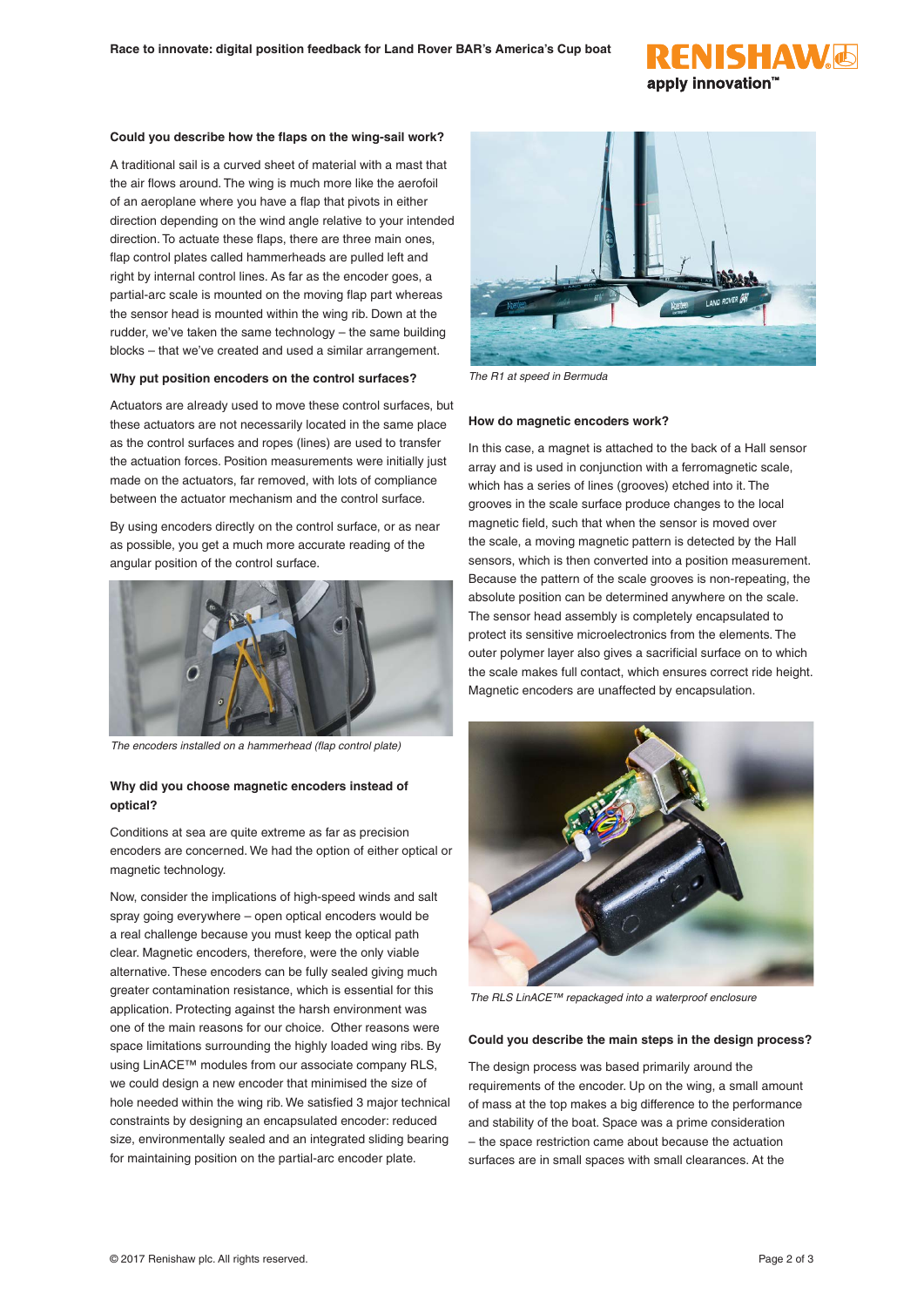

#### **Could you describe how the flaps on the wing-sail work?**

A traditional sail is a curved sheet of material with a mast that the air flows around. The wing is much more like the aerofoil of an aeroplane where you have a flap that pivots in either direction depending on the wind angle relative to your intended direction. To actuate these flaps, there are three main ones, flap control plates called hammerheads are pulled left and right by internal control lines. As far as the encoder goes, a partial-arc scale is mounted on the moving flap part whereas the sensor head is mounted within the wing rib. Down at the rudder, we've taken the same technology – the same building blocks – that we've created and used a similar arrangement.

#### **Why put position encoders on the control surfaces?**

Actuators are already used to move these control surfaces, but these actuators are not necessarily located in the same place as the control surfaces and ropes (lines) are used to transfer the actuation forces. Position measurements were initially just made on the actuators, far removed, with lots of compliance between the actuator mechanism and the control surface.

By using encoders directly on the control surface, or as near as possible, you get a much more accurate reading of the angular position of the control surface.



*The encoders installed on a hammerhead (flap control plate)*

# **Why did you choose magnetic encoders instead of optical?**

Conditions at sea are quite extreme as far as precision encoders are concerned. We had the option of either optical or magnetic technology.

Now, consider the implications of high-speed winds and salt spray going everywhere – open optical encoders would be a real challenge because you must keep the optical path clear. Magnetic encoders, therefore, were the only viable alternative. These encoders can be fully sealed giving much greater contamination resistance, which is essential for this application. Protecting against the harsh environment was one of the main reasons for our choice. Other reasons were space limitations surrounding the highly loaded wing ribs. By using LinACE™ modules from our associate company RLS, we could design a new encoder that minimised the size of hole needed within the wing rib. We satisfied 3 major technical constraints by designing an encapsulated encoder: reduced size, environmentally sealed and an integrated sliding bearing for maintaining position on the partial-arc encoder plate.



*The R1 at speed in Bermuda*

#### **How do magnetic encoders work?**

In this case, a magnet is attached to the back of a Hall sensor array and is used in conjunction with a ferromagnetic scale, which has a series of lines (grooves) etched into it. The grooves in the scale surface produce changes to the local magnetic field, such that when the sensor is moved over the scale, a moving magnetic pattern is detected by the Hall sensors, which is then converted into a position measurement. Because the pattern of the scale grooves is non-repeating, the absolute position can be determined anywhere on the scale. The sensor head assembly is completely encapsulated to protect its sensitive microelectronics from the elements. The outer polymer layer also gives a sacrificial surface on to which the scale makes full contact, which ensures correct ride height. Magnetic encoders are unaffected by encapsulation.



*The RLS LinACE™ repackaged into a waterproof enclosure*

#### **Could you describe the main steps in the design process?**

The design process was based primarily around the requirements of the encoder. Up on the wing, a small amount of mass at the top makes a big difference to the performance and stability of the boat. Space was a prime consideration – the space restriction came about because the actuation surfaces are in small spaces with small clearances. At the